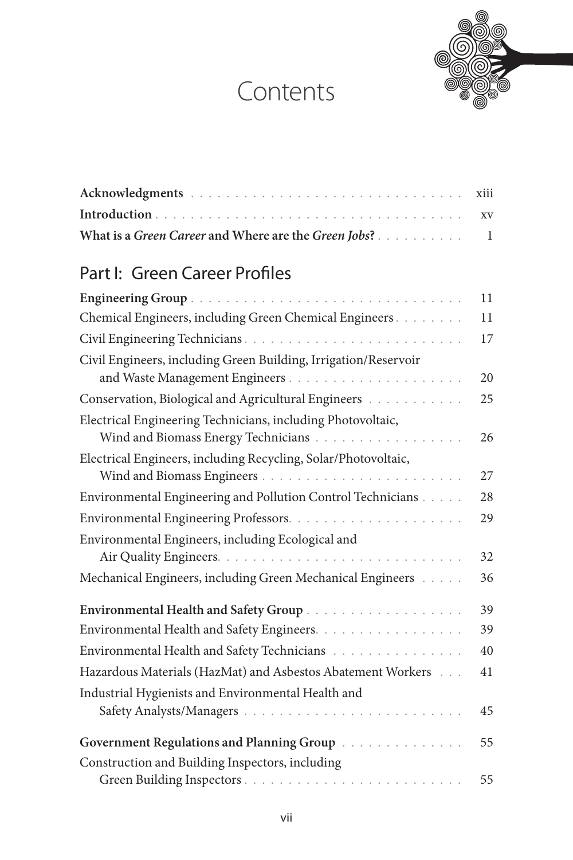## Contents



| What is a Green Career and Where are the Green Jobs? 1 |  |
|--------------------------------------------------------|--|

## Part I: Green Career Profiles

|                                                                                                    | 11 |
|----------------------------------------------------------------------------------------------------|----|
| Chemical Engineers, including Green Chemical Engineers                                             | 11 |
|                                                                                                    | 17 |
| Civil Engineers, including Green Building, Irrigation/Reservoir                                    | 20 |
| Conservation, Biological and Agricultural Engineers                                                | 25 |
| Electrical Engineering Technicians, including Photovoltaic,<br>Wind and Biomass Energy Technicians | 26 |
| Electrical Engineers, including Recycling, Solar/Photovoltaic,                                     | 27 |
| Environmental Engineering and Pollution Control Technicians                                        | 28 |
|                                                                                                    | 29 |
| Environmental Engineers, including Ecological and                                                  | 32 |
| Mechanical Engineers, including Green Mechanical Engineers [11, 11].                               | 36 |
|                                                                                                    | 39 |
| Environmental Health and Safety Engineers.                                                         | 39 |
| Environmental Health and Safety Technicians                                                        | 40 |
| Hazardous Materials (HazMat) and Asbestos Abatement Workers                                        | 41 |
| Industrial Hygienists and Environmental Health and                                                 | 45 |
| Government Regulations and Planning Group                                                          | 55 |
| Construction and Building Inspectors, including                                                    |    |
|                                                                                                    | 55 |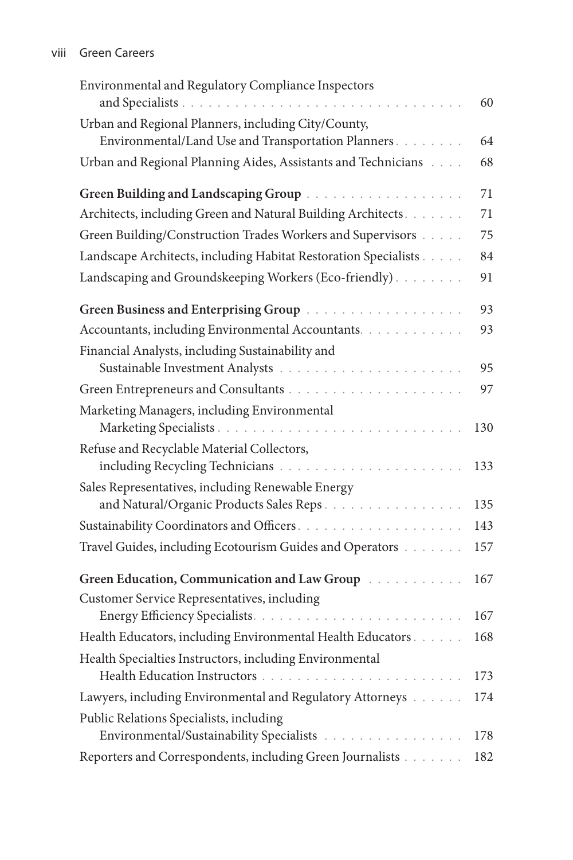| Environmental and Regulatory Compliance Inspectors                                                         | 60  |
|------------------------------------------------------------------------------------------------------------|-----|
| Urban and Regional Planners, including City/County,<br>Environmental/Land Use and Transportation Planners. | 64  |
| Urban and Regional Planning Aides, Assistants and Technicians                                              | 68  |
|                                                                                                            |     |
|                                                                                                            | 71  |
| Architects, including Green and Natural Building Architects.                                               | 71  |
| Green Building/Construction Trades Workers and Supervisors                                                 | 75  |
| Landscape Architects, including Habitat Restoration Specialists                                            | 84  |
| Landscaping and Groundskeeping Workers (Eco-friendly).                                                     | 91  |
|                                                                                                            | 93  |
| Accountants, including Environmental Accountants.                                                          | 93  |
| Financial Analysts, including Sustainability and                                                           | 95  |
|                                                                                                            | 97  |
| Marketing Managers, including Environmental                                                                |     |
|                                                                                                            | 130 |
| Refuse and Recyclable Material Collectors,                                                                 | 133 |
| Sales Representatives, including Renewable Energy                                                          |     |
| and Natural/Organic Products Sales Reps                                                                    | 135 |
|                                                                                                            | 143 |
| Travel Guides, including Ecotourism Guides and Operators                                                   | 157 |
| Green Education, Communication and Law Group [10]                                                          | 167 |
| Customer Service Representatives, including                                                                | 167 |
| Health Educators, including Environmental Health Educators                                                 | 168 |
| Health Specialties Instructors, including Environmental                                                    | 173 |
| Lawyers, including Environmental and Regulatory Attorneys                                                  | 174 |
| Public Relations Specialists, including                                                                    |     |
| Environmental/Sustainability Specialists                                                                   | 178 |
| Reporters and Correspondents, including Green Journalists                                                  | 182 |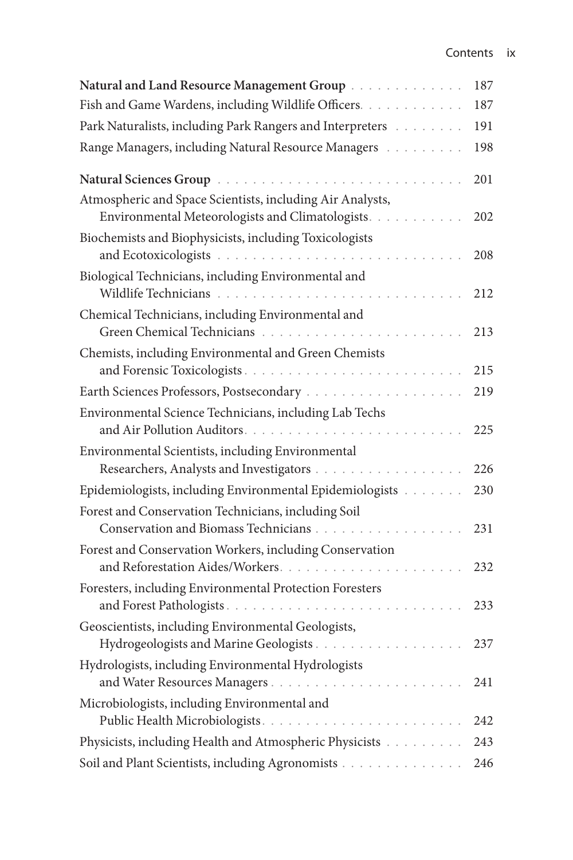| Natural and Land Resource Management Group                                                                   | 187 |
|--------------------------------------------------------------------------------------------------------------|-----|
| Fish and Game Wardens, including Wildlife Officers.                                                          | 187 |
|                                                                                                              | 191 |
| Range Managers, including Natural Resource Managers [19]                                                     | 198 |
|                                                                                                              | 201 |
| Atmospheric and Space Scientists, including Air Analysts,<br>Environmental Meteorologists and Climatologists | 202 |
| Biochemists and Biophysicists, including Toxicologists<br>and Ecotoxicologists                               | 208 |
| Biological Technicians, including Environmental and<br>Wildlife Technicians                                  | 212 |
| Chemical Technicians, including Environmental and<br>Green Chemical Technicians<br>and a series and a        | 213 |
| Chemists, including Environmental and Green Chemists                                                         | 215 |
|                                                                                                              | 219 |
| Environmental Science Technicians, including Lab Techs                                                       | 225 |
| Environmental Scientists, including Environmental                                                            | 226 |
| Epidemiologists, including Environmental Epidemiologists                                                     | 230 |
| Forest and Conservation Technicians, including Soil<br>Conservation and Biomass Technicians                  | 231 |
| Forest and Conservation Workers, including Conservation<br>and Reforestation Aides/Workers.                  | 232 |
| Foresters, including Environmental Protection Foresters<br>and Forest Pathologists                           | 233 |
| Geoscientists, including Environmental Geologists,<br>Hydrogeologists and Marine Geologists                  | 237 |
| Hydrologists, including Environmental Hydrologists                                                           | 241 |
| Microbiologists, including Environmental and                                                                 | 242 |
| Physicists, including Health and Atmospheric Physicists                                                      | 243 |
| Soil and Plant Scientists, including Agronomists                                                             | 246 |